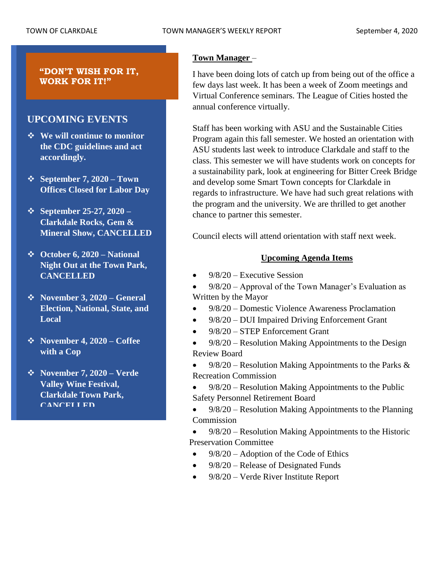### **"DON'T WISH FOR IT, WORK FOR IT!"**

# **UPCOMING EVENTS**

- ❖ **We will continue to monitor the CDC guidelines and act accordingly.**
- ❖ **September 7, 2020 – Town Offices Closed for Labor Day**
- ❖ **September 25-27, 2020 – Clarkdale Rocks, Gem & Mineral Show, CANCELLED**
- ❖ **October 6, 2020 – National Night Out at the Town Park, CANCELLED**
- ❖ **November 3, 2020 – General Election, National, State, and Local**
- ❖ **November 4, 2020 – Coffee with a Cop**
- ❖ **November 7, 2020 – Verde Valley Wine Festival, Clarkdale Town Park, CANCELLED**

# **Town Manager** –

I have been doing lots of catch up from being out of the office a few days last week. It has been a week of Zoom meetings and Virtual Conference seminars. The League of Cities hosted the annual conference virtually.

Staff has been working with ASU and the Sustainable Cities Program again this fall semester. We hosted an orientation with ASU students last week to introduce Clarkdale and staff to the class. This semester we will have students work on concepts for a sustainability park, look at engineering for Bitter Creek Bridge and develop some Smart Town concepts for Clarkdale in regards to infrastructure. We have had such great relations with the program and the university. We are thrilled to get another chance to partner this semester.

Council elects will attend orientation with staff next week.

# **Upcoming Agenda Items**

 $9/8/20$  – Executive Session

• 9/8/20 – Approval of the Town Manager's Evaluation as Written by the Mayor

- 9/8/20 Domestic Violence Awareness Proclamation
- 9/8/20 DUI Impaired Driving Enforcement Grant
- 9/8/20 STEP Enforcement Grant
- 9/8/20 Resolution Making Appointments to the Design Review Board
- $9/8/20$  Resolution Making Appointments to the Parks & Recreation Commission
- 9/8/20 Resolution Making Appointments to the Public Safety Personnel Retirement Board
- 9/8/20 Resolution Making Appointments to the Planning Commission

• 9/8/20 – Resolution Making Appointments to the Historic Preservation Committee

- 9/8/20 Adoption of the Code of Ethics
- 9/8/20 Release of Designated Funds
- 9/8/20 Verde River Institute Report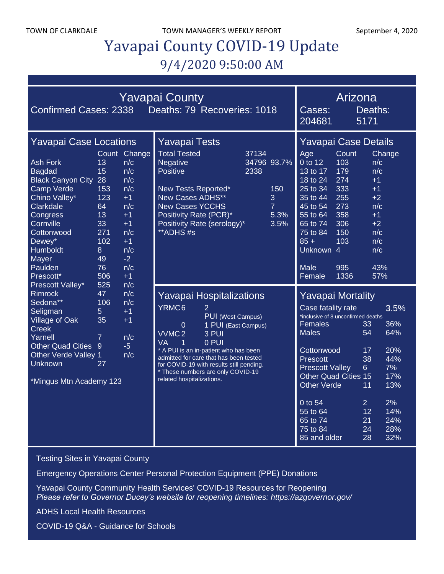TOWN OF CLARKDALE TOWN MANAGER'S WEEKLY REPORT September 4, 2020

# Yavapai County COVID-19 Update 9/4/2020 9:50:00 AM

| <b>Yavapai County</b><br>Deaths: 79 Recoveries: 1018<br><b>Confirmed Cases: 2338</b>                                                                                                                             |                                                                                       |                                                                                                                             |                                                                                                                                                                                                                                                                                                                                                   |                              |                                            |                                                                                                                                                                                                                                                                                  | Arizona<br>Deaths:<br>Cases:<br>204681<br>5171                                             |                                                                                              |                                                                                        |
|------------------------------------------------------------------------------------------------------------------------------------------------------------------------------------------------------------------|---------------------------------------------------------------------------------------|-----------------------------------------------------------------------------------------------------------------------------|---------------------------------------------------------------------------------------------------------------------------------------------------------------------------------------------------------------------------------------------------------------------------------------------------------------------------------------------------|------------------------------|--------------------------------------------|----------------------------------------------------------------------------------------------------------------------------------------------------------------------------------------------------------------------------------------------------------------------------------|--------------------------------------------------------------------------------------------|----------------------------------------------------------------------------------------------|----------------------------------------------------------------------------------------|
| <b>Yavapai Case Locations</b>                                                                                                                                                                                    |                                                                                       |                                                                                                                             | <b>Yavapai Tests</b>                                                                                                                                                                                                                                                                                                                              |                              |                                            | Yavapai Case Details                                                                                                                                                                                                                                                             |                                                                                            |                                                                                              |                                                                                        |
| <b>Ash Fork</b><br><b>Bagdad</b><br><b>Black Canyon City 28</b><br><b>Camp Verde</b><br>Chino Valley*<br>Clarkdale<br>Congress<br>Cornville<br>Cottonwood<br>Dewey*<br>Humboldt<br>Mayer<br>Paulden<br>Prescott* | 13<br>15<br>153<br>123<br>64<br>13<br>33<br>271<br>102<br>8<br>49<br>76<br>506<br>525 | Count Change<br>n/c<br>n/c<br>n/c<br>n/c<br>$+1$<br>n/c<br>$+1$<br>$+1$<br>n/c<br>$+1$<br>n/c<br>$-2$<br>n/c<br>$+1$<br>n/c | <b>Total Tested</b><br><b>Negative</b><br><b>Positive</b><br>New Tests Reported*<br>New Cases ADHS**<br><b>New Cases YCCHS</b><br>Positivity Rate (PCR)*<br>Positivity Rate (serology)*<br>**ADHS#s                                                                                                                                               | 37134<br>34796 93.7%<br>2338 | 150<br>3<br>$\overline{7}$<br>5.3%<br>3.5% | Age<br>0 to 12<br>13 to 17<br>18 to 24<br>25 to 34<br>35 to 44<br>45 to 54<br>$55$ to $64$<br>65 to 74<br>75 to 84<br>$85 +$<br>Unknown 4<br><b>Male</b><br>Female                                                                                                               | Count<br>103<br>179<br>274<br>333<br>255<br>273<br>358<br>306<br>150<br>103<br>995<br>1336 | n/c<br>n/c<br>$+1$<br>$+1$<br>$+2$<br>n/c<br>$+1$<br>$+2$<br>n/c<br>n/c<br>n/c<br>43%<br>57% | Change                                                                                 |
| Prescott Valley*<br><b>Rimrock</b><br>Sedona**<br>Seligman<br><b>Village of Oak</b><br><b>Creek</b><br>Yarnell<br>Other Quad Cities<br><b>Other Verde Valley 1</b><br><b>Unknown</b><br>*Mingus Mtn Academy 123  | 47<br>106<br>5<br>35<br>$\overline{7}$<br>9<br>27                                     | n/c<br>n/c<br>$+1$<br>$+1$<br>n/c<br>$-5$<br>n/c                                                                            | Yavapai Hospitalizations<br>YRMC6<br>2<br>PUI (West Campus)<br>1 PUI (East Campus)<br>$\Omega$<br>VVMC <sub>2</sub><br>3 PUI<br>0 PUI<br>VA<br>1<br>* A PUI is an in-patient who has been<br>admitted for care that has been tested<br>for COVID-19 with results still pending.<br>* These numbers are only COVID-19<br>related hospitalizations. |                              |                                            | Yavapai Mortality<br>Case fatality rate<br>*inclusive of 8 unconfirmed deaths<br>Females<br><b>Males</b><br>Cottonwood<br>Prescott<br><b>Prescott Valley</b><br><b>Other Quad Cities 15</b><br><b>Other Verde</b><br>0 to 54<br>55 to 64<br>65 to 74<br>75 to 84<br>85 and older |                                                                                            | 33<br>54<br>17<br>38<br>$6\overline{6}$<br>11<br>$\overline{2}$<br>12<br>21<br>24<br>28      | 3.5%<br>36%<br>64%<br>20%<br>44%<br>7%<br>17%<br>13%<br>2%<br>14%<br>24%<br>28%<br>32% |

[Testing Sites in Yavapai County](https://www.yavapai.us/Portals/39/COVID-19/TestingSitesinYavapaiCounty.pdf)

[Emergency Operations Center Personal Protection Equipment \(PPE\) Donations](http://www.yavapai.us/Portals/39/PPE%20Donations.pdf)

[Yavapai County Community Health Services' COVID-19 Resources for Reopening](https://www.yavapai.us/chs/COVID-19) *Please refer to Governor Ducey's website for reopening timelines: <https://azgovernor.gov/>*

[ADHS Local Health Resources](https://www.azdhs.gov/preparedness/epidemiology-disease-control/infectious-disease-epidemiology/index.php#novel-coronavirus-local-health-resources)

COVID-19 Q&A - [Guidance for Schools](https://www.yavapai.us/Portals/39/COVID-19/COVID-19_QA_GuidanceForSchools.pdf)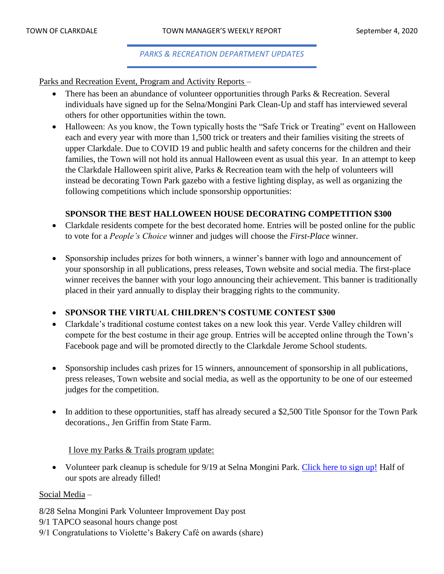#### *PARKS & RECREATION DEPARTMENT UPDATES*

Parks and Recreation Event, Program and Activity Reports –

- There has been an abundance of volunteer opportunities through Parks & Recreation. Several individuals have signed up for the Selna/Mongini Park Clean-Up and staff has interviewed several others for other opportunities within the town.
- Halloween: As you know, the Town typically hosts the "Safe Trick or Treating" event on Halloween each and every year with more than 1,500 trick or treaters and their families visiting the streets of upper Clarkdale. Due to COVID 19 and public health and safety concerns for the children and their families, the Town will not hold its annual Halloween event as usual this year. In an attempt to keep the Clarkdale Halloween spirit alive, Parks & Recreation team with the help of volunteers will instead be decorating Town Park gazebo with a festive lighting display, as well as organizing the following competitions which include sponsorship opportunities:

#### **SPONSOR THE BEST HALLOWEEN HOUSE DECORATING COMPETITION \$300**

- Clarkdale residents compete for the best decorated home. Entries will be posted online for the public to vote for a *People's Choice* winner and judges will choose the *First-Place* winner.
- Sponsorship includes prizes for both winners, a winner's banner with logo and announcement of your sponsorship in all publications, press releases, Town website and social media. The first-place winner receives the banner with your logo announcing their achievement. This banner is traditionally placed in their yard annually to display their bragging rights to the community.

#### • **SPONSOR THE VIRTUAL CHILDREN'S COSTUME CONTEST \$300**

- Clarkdale's traditional costume contest takes on a new look this year. Verde Valley children will compete for the best costume in their age group. Entries will be accepted online through the Town's Facebook page and will be promoted directly to the Clarkdale Jerome School students.
- Sponsorship includes cash prizes for 15 winners, announcement of sponsorship in all publications, press releases, Town website and social media, as well as the opportunity to be one of our esteemed judges for the competition.
- In addition to these opportunities, staff has already secured a \$2,500 Title Sponsor for the Town Park decorations., Jen Griffin from State Farm.

I love my Parks & Trails program update:

• Volunteer park cleanup is schedule for 9/19 at Selna Mongini Park. [Click here to sign up!](https://www.signupgenius.com/go/10C0D4CAAAB23A2F5C07-september) Half of our spots are already filled!

#### Social Media –

8/28 Selna Mongini Park Volunteer Improvement Day post

- 9/1 TAPCO seasonal hours change post
- 9/1 Congratulations to Violette's Bakery Café on awards (share)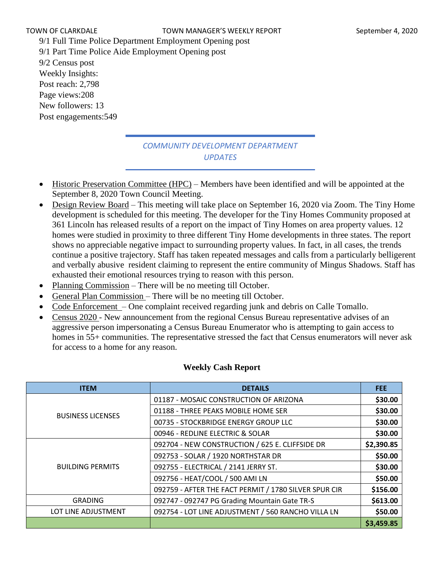9/1 Full Time Police Department Employment Opening post 9/1 Part Time Police Aide Employment Opening post 9/2 Census post Weekly Insights: Post reach: 2,798 Page views:208 New followers: 13 Post engagements:549

# *COMMUNITY DEVELOPMENT DEPARTMENT UPDATES*

- Historic Preservation Committee (HPC) Members have been identified and will be appointed at the September 8, 2020 Town Council Meeting.
- Design Review Board This meeting will take place on September 16, 2020 via Zoom. The Tiny Home development is scheduled for this meeting. The developer for the Tiny Homes Community proposed at 361 Lincoln has released results of a report on the impact of Tiny Homes on area property values. 12 homes were studied in proximity to three different Tiny Home developments in three states. The report shows no appreciable negative impact to surrounding property values. In fact, in all cases, the trends continue a positive trajectory. Staff has taken repeated messages and calls from a particularly belligerent and verbally abusive resident claiming to represent the entire community of Mingus Shadows. Staff has exhausted their emotional resources trying to reason with this person.
- Planning Commission There will be no meeting till October.
- General Plan Commission There will be no meeting till October.
- Code Enforcement One complaint received regarding junk and debris on Calle Tomallo.
- Census 2020 New announcement from the regional Census Bureau representative advises of an aggressive person impersonating a Census Bureau Enumerator who is attempting to gain access to homes in 55+ communities. The representative stressed the fact that Census enumerators will never ask for access to a home for any reason.

| <b>ITEM</b>              | <b>DETAILS</b>                                        | <b>FEE</b> |
|--------------------------|-------------------------------------------------------|------------|
|                          | 01187 - MOSAIC CONSTRUCTION OF ARIZONA                | \$30.00    |
| <b>BUSINESS LICENSES</b> | 01188 - THREE PEAKS MOBILE HOME SER                   | \$30.00    |
|                          | 00735 - STOCKBRIDGE ENERGY GROUP LLC                  | \$30.00    |
|                          | 00946 - REDLINE ELECTRIC & SOLAR                      | \$30.00    |
|                          | 092704 - NEW CONSTRUCTION / 625 E. CLIFFSIDE DR       | \$2,390.85 |
|                          | 092753 - SOLAR / 1920 NORTHSTAR DR                    | \$50.00    |
| <b>BUILDING PERMITS</b>  | 092755 - ELECTRICAL / 2141 JERRY ST.                  | \$30.00    |
|                          | 092756 - HEAT/COOL / 500 AMI LN                       | \$50.00    |
|                          | 092759 - AFTER THE FACT PERMIT / 1780 SILVER SPUR CIR | \$156.00   |
| <b>GRADING</b>           | 092747 - 092747 PG Grading Mountain Gate TR-S         | \$613.00   |
| LOT LINE ADJUSTMENT      | 092754 - LOT LINE ADJUSTMENT / 560 RANCHO VILLA LN    | \$50.00    |
|                          |                                                       | \$3,459.85 |

#### **Weekly Cash Report**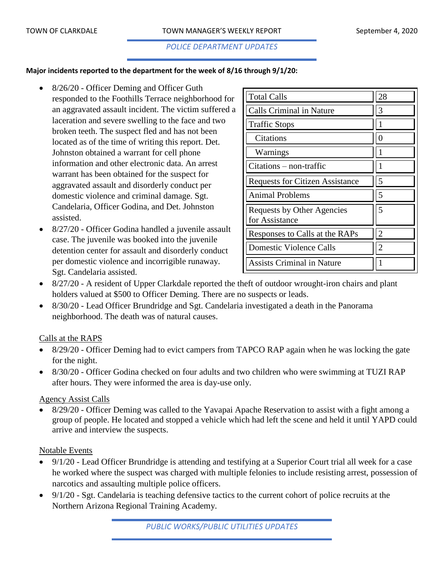#### *POLICE DEPARTMENT UPDATES*

#### **Major incidents reported to the department for the week of 8/16 through 9/1/20:**

- 8/26/20 Officer Deming and Officer Guth responded to the Foothills Terrace neighborhood for an aggravated assault incident. The victim suffered a laceration and severe swelling to the face and two broken teeth. The suspect fled and has not been located as of the time of writing this report. Det. Johnston obtained a warrant for cell phone information and other electronic data. An arrest warrant has been obtained for the suspect for aggravated assault and disorderly conduct per domestic violence and criminal damage. Sgt. Candelaria, Officer Godina, and Det. Johnston assisted.
- 8/27/20 Officer Godina handled a juvenile assault case. The juvenile was booked into the juvenile detention center for assault and disorderly conduct per domestic violence and incorrigible runaway. Sgt. Candelaria assisted.

| <b>Total Calls</b>                           | 28             |
|----------------------------------------------|----------------|
| <b>Calls Criminal in Nature</b>              | 3              |
| <b>Traffic Stops</b>                         |                |
| Citations                                    | $\theta$       |
| Warnings                                     |                |
| $Citations - non-traffic$                    |                |
| <b>Requests for Citizen Assistance</b>       | 5              |
| <b>Animal Problems</b>                       | 5              |
| Requests by Other Agencies<br>for Assistance | 5              |
| Responses to Calls at the RAPs               | $\overline{2}$ |
| <b>Domestic Violence Calls</b>               | $\overline{c}$ |
| <b>Assists Criminal in Nature</b>            |                |

- 8/27/20 A resident of Upper Clarkdale reported the theft of outdoor wrought-iron chairs and plant holders valued at \$500 to Officer Deming. There are no suspects or leads.
- 8/30/20 Lead Officer Brundridge and Sgt. Candelaria investigated a death in the Panorama neighborhood. The death was of natural causes.

#### Calls at the RAPS

- 8/29/20 Officer Deming had to evict campers from TAPCO RAP again when he was locking the gate for the night.
- 8/30/20 Officer Godina checked on four adults and two children who were swimming at TUZI RAP after hours. They were informed the area is day-use only.

#### Agency Assist Calls

• 8/29/20 - Officer Deming was called to the Yavapai Apache Reservation to assist with a fight among a group of people. He located and stopped a vehicle which had left the scene and held it until YAPD could arrive and interview the suspects.

#### Notable Events

- 9/1/20 Lead Officer Brundridge is attending and testifying at a Superior Court trial all week for a case he worked where the suspect was charged with multiple felonies to include resisting arrest, possession of narcotics and assaulting multiple police officers.
- 9/1/20 Sgt. Candelaria is teaching defensive tactics to the current cohort of police recruits at the Northern Arizona Regional Training Academy.